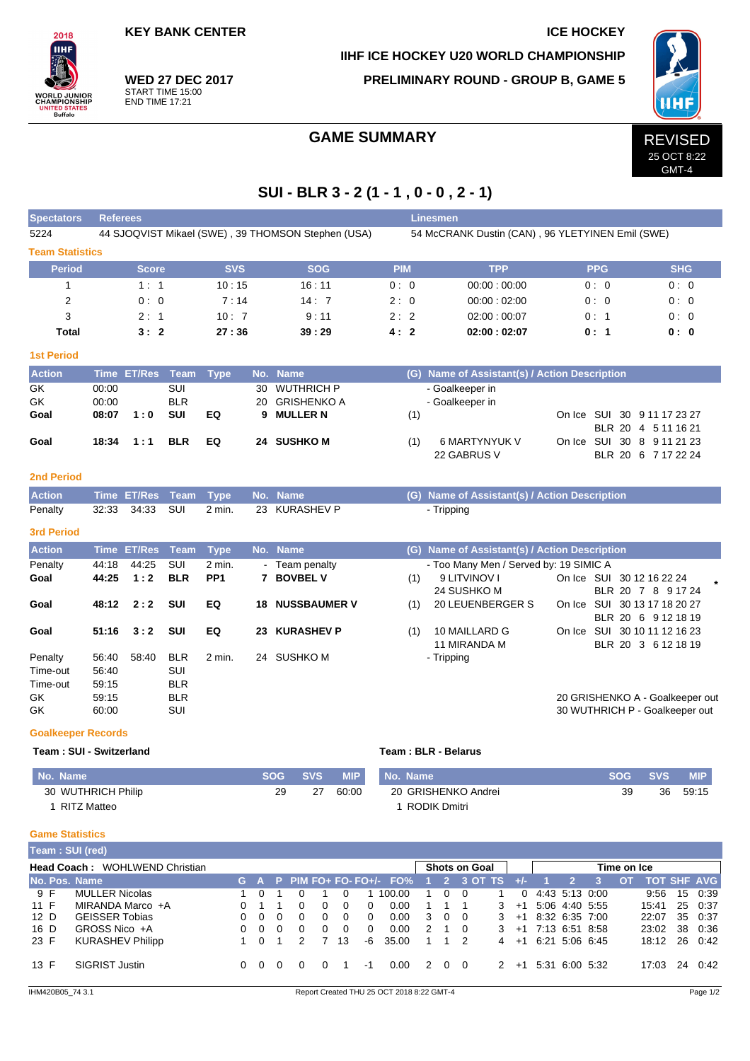**KEY BANK CENTER ICE HOCKEY** 

 $2018$ IІHI

'ORLD JUNIOR<br>HAMPIONSHIP

**IED STA**<br>Buffalo

**WED 27 DEC 2017** START TIME 15:00 END TIME 17:21

**IIHF ICE HOCKEY U20 WORLD CHAMPIONSHIP**

**PRELIMINARY ROUND - GROUP B, GAME 5**



GMT-4

## GAME SUMMARY REVISED

## **SUI - BLR 3 - 2 (1 - 1 , 0 - 0 , 2 - 1)**

| <b>Spectators</b>      | <b>Referees</b> |                    |             |                 |     |                                                    |                                                  |     | <b>Linesmen</b>                               |  |            |                              |  |  |  |  |  |
|------------------------|-----------------|--------------------|-------------|-----------------|-----|----------------------------------------------------|--------------------------------------------------|-----|-----------------------------------------------|--|------------|------------------------------|--|--|--|--|--|
| 5224                   |                 |                    |             |                 |     | 44 SJOQVIST Mikael (SWE), 39 THOMSON Stephen (USA) | 54 McCRANK Dustin (CAN), 96 YLETYINEN Emil (SWE) |     |                                               |  |            |                              |  |  |  |  |  |
| <b>Team Statistics</b> |                 |                    |             |                 |     |                                                    |                                                  |     |                                               |  |            |                              |  |  |  |  |  |
| <b>Period</b>          |                 | <b>Score</b>       |             | <b>SVS</b>      |     | <b>SOG</b>                                         | <b>PIM</b>                                       |     | <b>TPP</b>                                    |  | <b>PPG</b> | <b>SHG</b>                   |  |  |  |  |  |
| 1                      |                 | 1:1                |             | 10:15           |     | 16:11                                              | 0:0                                              |     | 00:00:00:00                                   |  | 0:0        | 0:0                          |  |  |  |  |  |
| $\overline{2}$         |                 | 0:0                |             | 7:14            |     | 14:7                                               | 2:0                                              |     | 00:00:02:00                                   |  | 0:0        | 0:0                          |  |  |  |  |  |
| 3                      |                 | 2:1                |             | 10:7            |     | 9:11                                               | 2:2                                              |     | 02:00:00:07                                   |  | 0:1        | 0:0                          |  |  |  |  |  |
| <b>Total</b>           |                 | 3:2                |             | 27:36           |     | 39:29                                              | 4:2                                              |     | 02:00:02:07                                   |  | 0:1        | 0: 0                         |  |  |  |  |  |
| <b>1st Period</b>      |                 |                    |             |                 |     |                                                    |                                                  |     |                                               |  |            |                              |  |  |  |  |  |
| <b>Action</b>          |                 | Time ET/Res Team   |             | <b>Type</b>     |     | No. Name                                           |                                                  |     | (G) Name of Assistant(s) / Action Description |  |            |                              |  |  |  |  |  |
| GK                     | 00:00           |                    | SUI         |                 | 30  | <b>WUTHRICH P</b>                                  |                                                  |     | - Goalkeeper in                               |  |            |                              |  |  |  |  |  |
| GK                     | 00:00           |                    | <b>BLR</b>  |                 | 20  | <b>GRISHENKO A</b>                                 |                                                  |     | - Goalkeeper in                               |  |            |                              |  |  |  |  |  |
| Goal                   | 08:07           | 1:0                | <b>SUI</b>  | EQ              | 9   | <b>MULLER N</b>                                    |                                                  | (1) |                                               |  |            | On Ice SUI 30 9 11 17 23 27  |  |  |  |  |  |
|                        |                 |                    |             |                 |     |                                                    |                                                  |     |                                               |  |            | BLR 20 4 5 11 16 21          |  |  |  |  |  |
| Goal                   | 18:34           | 1:1                | <b>BLR</b>  | EQ              |     | 24 SUSHKO M                                        |                                                  | (1) | 6 MARTYNYUK V                                 |  |            | On Ice SUI 30 8 9 11 21 23   |  |  |  |  |  |
|                        |                 |                    |             |                 |     |                                                    |                                                  |     | 22 GABRUS V                                   |  |            | BLR 20 6 7 17 22 24          |  |  |  |  |  |
| <b>2nd Period</b>      |                 |                    |             |                 |     |                                                    |                                                  |     |                                               |  |            |                              |  |  |  |  |  |
| <b>Action</b>          | <b>Time</b>     | <b>ET/Res</b>      | <b>Team</b> | <b>Type</b>     | No. | <b>Name</b>                                        |                                                  | (G) | Name of Assistant(s) / Action Description     |  |            |                              |  |  |  |  |  |
| Penalty                | 32:33           | 34:33              | SUI         | $2$ min.        |     | 23 KURASHEV P                                      |                                                  |     | - Tripping                                    |  |            |                              |  |  |  |  |  |
| <b>3rd Period</b>      |                 |                    |             |                 |     |                                                    |                                                  |     |                                               |  |            |                              |  |  |  |  |  |
| <b>Action</b>          |                 | <b>Time ET/Res</b> | <b>Team</b> | <b>Type</b>     |     | No. Name                                           |                                                  |     | (G) Name of Assistant(s) / Action Description |  |            |                              |  |  |  |  |  |
| Penalty                | 44:18           | 44:25              | <b>SUI</b>  | 2 min.          |     | - Team penalty                                     |                                                  |     | - Too Many Men / Served by: 19 SIMIC A        |  |            |                              |  |  |  |  |  |
| Goal                   | 44:25           | 1:2                | <b>BLR</b>  | PP <sub>1</sub> |     | 7 BOVBEL V                                         |                                                  | (1) | 9 LITVINOV I                                  |  |            | On Ice SUI 30 12 16 22 24    |  |  |  |  |  |
|                        |                 |                    |             |                 |     |                                                    |                                                  |     | 24 SUSHKO M                                   |  |            | BLR 20 7 8 9 17 24           |  |  |  |  |  |
| Goal                   | 48:12           | 2:2                | <b>SUI</b>  | EQ              | 18  | <b>NUSSBAUMER V</b>                                |                                                  | (1) | 20 LEUENBERGER S                              |  |            | On Ice SUI 30 13 17 18 20 27 |  |  |  |  |  |
|                        |                 |                    |             |                 |     |                                                    |                                                  |     |                                               |  |            | BLR 20 6 9 12 18 19          |  |  |  |  |  |
| Goal                   | 51:16           | 3:2                | <b>SUI</b>  | EQ              | 23  | <b>KURASHEV P</b>                                  |                                                  | (1) | 10 MAILLARD G                                 |  |            | On Ice SUI 30 10 11 12 16 23 |  |  |  |  |  |
|                        |                 |                    |             |                 |     |                                                    |                                                  |     | 11 MIRANDA M                                  |  |            | BLR 20 3 6 12 18 19          |  |  |  |  |  |
| Penalty                | 56:40           | 58:40              | <b>BLR</b>  | 2 min.          | 24  | <b>SUSHKO M</b>                                    |                                                  |     | - Tripping                                    |  |            |                              |  |  |  |  |  |
| Time-out               | 56:40           |                    | SUI         |                 |     |                                                    |                                                  |     |                                               |  |            |                              |  |  |  |  |  |
| Time-out               | 59:15           |                    | <b>BLR</b>  |                 |     |                                                    |                                                  |     |                                               |  |            |                              |  |  |  |  |  |

**Goalkeeper Records**

#### **Team : SUI - Switzerland Team : BLR - Belarus**

|  |  | Team: BLR - Belarus |  |
|--|--|---------------------|--|

| No. Name           |    | SOG SVS | <b>MIP</b> | No. Name            | SOG SVS |    | <b>MIP</b> |
|--------------------|----|---------|------------|---------------------|---------|----|------------|
| 30 WUTHRICH Philip | 29 | 27      | 60:00      | 20 GRISHENKO Andrei |         | 36 | 59:15      |
| RITZ Matteo        |    |         |            | RODIK Dmitri        |         |    |            |

GK 59:15 BLR 20 GRISHENKO A - Goalkeeper out GK 60:00 SUI 30 WUTHRICH P - Goalkeeper out

#### **Game Statistics**

|                                | <b>Team : SUI (red)</b> |    |  |          |          |   |          |    |                             |   |            |          |               |             |                |           |  |    |       |    |                    |
|--------------------------------|-------------------------|----|--|----------|----------|---|----------|----|-----------------------------|---|------------|----------|---------------|-------------|----------------|-----------|--|----|-------|----|--------------------|
| Head Coach: WOHLWEND Christian |                         |    |  |          |          |   |          |    | <b>Shots on Goal</b>        |   |            |          |               | Time on Ice |                |           |  |    |       |    |                    |
| No. Pos. Name                  |                         |    |  |          |          |   |          |    | G A P PIM FO+ FO- FO+/- FO% |   |            |          | 3 OT TS       | $+/-$       |                |           |  | O1 |       |    | <b>TOT SHF AVG</b> |
| 9 F                            | <b>MULLER Nicolas</b>   |    |  |          |          |   |          |    | 100.00                      |   | 0          | $\Omega$ |               | 0           | 4.43 5.13 0.00 |           |  |    | 9:56  | 15 | 0:39               |
| 11 F                           | MIRANDA Marco +A        |    |  |          |          | 0 |          | 0  | 0.00                        |   |            |          | 3             | $+1$        | 5:06 4:40 5:55 |           |  |    | 15:41 |    | 25 0:37            |
| 12 D                           | <b>GEISSER Tobias</b>   |    |  | $\Omega$ | 0        | 0 | 0        | 0  | 0.00                        | 3 | $0\quad 0$ |          | 3             | $+1$        | 8:32 6:35 7:00 |           |  |    | 22:07 | 35 | 0.37               |
| 16 D                           | GROSS Nico +A           | ∩. |  | $\Omega$ | $\Omega$ | 0 | $\Omega$ | 0  | 0.00                        | 2 |            | $\Omega$ | 3             | $+1$        | 7:13 6:51 8:58 |           |  |    | 23:02 | 38 | 0:36               |
| 23 F                           | <b>KURASHEV Philipp</b> |    |  |          |          |   | 13       | -6 | 35.00                       |   |            | 2        | 4             | $+1$        | 6:21 5:06 6:45 |           |  |    | 18:12 | 26 | 0:42               |
| 13 F                           | <b>SIGRIST Justin</b>   |    |  |          |          |   |          | -1 | 0.00                        | 2 |            |          | $\mathcal{P}$ | $+1$        | 5:31           | 6:00 5:32 |  |    | 17:03 | 24 | 0:42               |